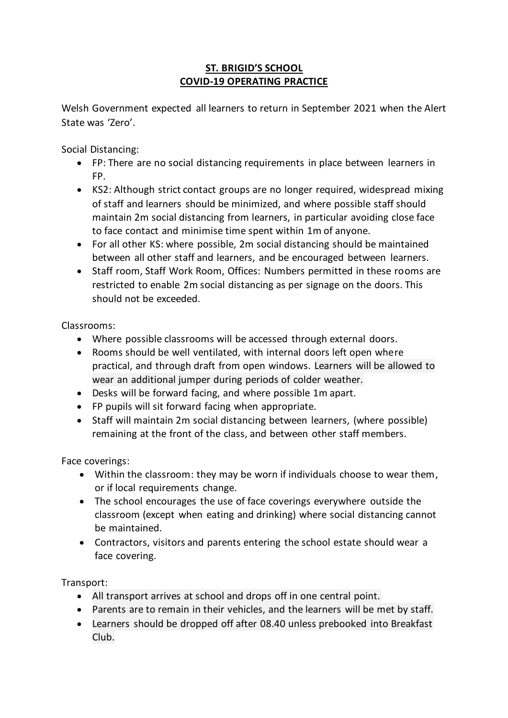# **ST. BRIGID'S SCHOOL COVID-19 OPERATING PRACTICE**

Welsh Government expected all learners to return in September 2021 when the Alert State was 'Zero'.

Social Distancing:

- FP: There are no social distancing requirements in place between learners in FP.
- KS2: Although strict contact groups are no longer required, widespread mixing of staff and learners should be minimized, and where possible staff should maintain 2m social distancing from learners, in particular avoiding close face to face contact and minimise time spent within 1m of anyone.
- For all other KS: where possible, 2m social distancing should be maintained between all other staff and learners, and be encouraged between learners.
- Staff room, Staff Work Room, Offices: Numbers permitted in these rooms are restricted to enable 2m social distancing as per signage on the doors. This should not be exceeded.

Classrooms:

- Where possible classrooms will be accessed through external doors.
- Rooms should be well ventilated, with internal doors left open where practical, and through draft from open windows. Learners will be allowed to wear an additional jumper during periods of colder weather.
- Desks will be forward facing, and where possible 1m apart.
- FP pupils will sit forward facing when appropriate.
- Staff will maintain 2m social distancing between learners, (where possible) remaining at the front of the class, and between other staff members.

Face coverings:

- Within the classroom: they may be worn if individuals choose to wear them, or if local requirements change.
- The school encourages the use of face coverings everywhere outside the classroom (except when eating and drinking) where social distancing cannot be maintained.
- Contractors, visitors and parents entering the school estate should wear a face covering.

Transport:

- All transport arrives at school and drops off in one central point.
- Parents are to remain in their vehicles, and the learners will be met by staff.
- Learners should be dropped off after 08.40 unless prebooked into Breakfast Club.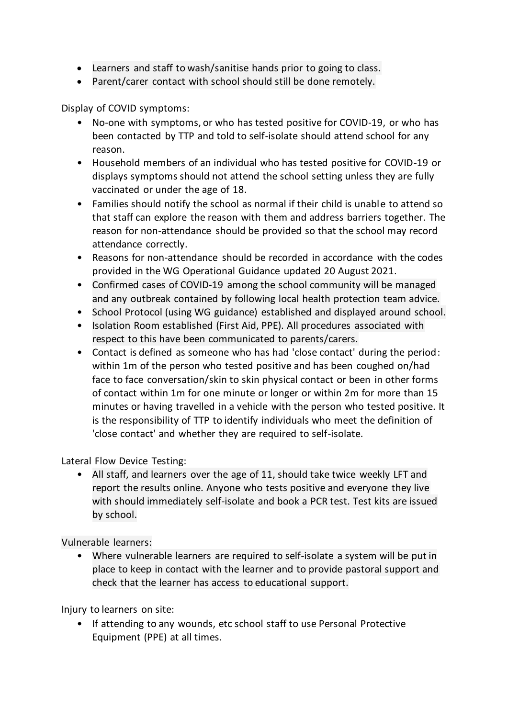- Learners and staff to wash/sanitise hands prior to going to class.
- Parent/carer contact with school should still be done remotely.

Display of COVID symptoms:

- No-one with symptoms, or who has tested positive for COVID-19, or who has been contacted by TTP and told to self-isolate should attend school for any reason.
- Household members of an individual who has tested positive for COVID-19 or displays symptoms should not attend the school setting unless they are fully vaccinated or under the age of 18.
- Families should notify the school as normal if their child is unable to attend so that staff can explore the reason with them and address barriers together. The reason for non-attendance should be provided so that the school may record attendance correctly.
- Reasons for non-attendance should be recorded in accordance with the codes provided in the WG Operational Guidance updated 20 August 2021.
- Confirmed cases of COVID-19 among the school community will be managed and any outbreak contained by following local health protection team advice.
- School Protocol (using WG guidance) established and displayed around school.
- Isolation Room established (First Aid, PPE). All procedures associated with respect to this have been communicated to parents/carers.
- Contact is defined as someone who has had 'close contact' during the period: within 1m of the person who tested positive and has been coughed on/had face to face conversation/skin to skin physical contact or been in other forms of contact within 1m for one minute or longer or within 2m for more than 15 minutes or having travelled in a vehicle with the person who tested positive. It is the responsibility of TTP to identify individuals who meet the definition of 'close contact' and whether they are required to self-isolate.

Lateral Flow Device Testing:

• All staff, and learners over the age of 11, should take twice weekly LFT and report the results online. Anyone who tests positive and everyone they live with should immediately self-isolate and book a PCR test. Test kits are issued by school.

Vulnerable learners:

• Where vulnerable learners are required to self-isolate a system will be put in place to keep in contact with the learner and to provide pastoral support and check that the learner has access to educational support.

Injury to learners on site:

• If attending to any wounds, etc school staff to use Personal Protective Equipment (PPE) at all times.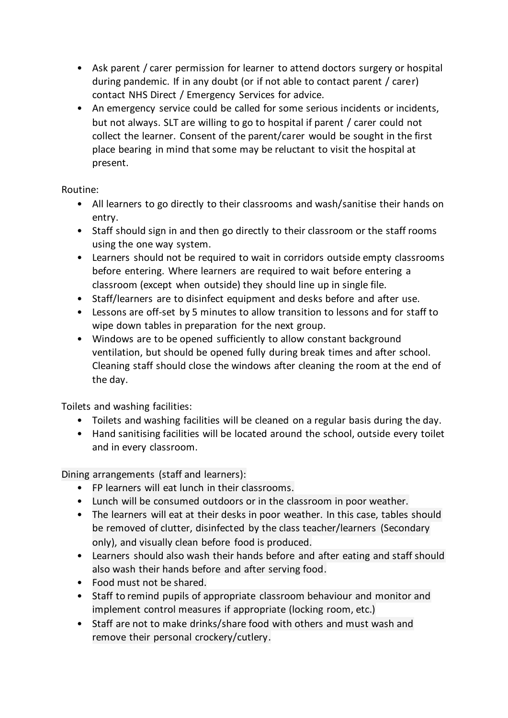- Ask parent / carer permission for learner to attend doctors surgery or hospital during pandemic. If in any doubt (or if not able to contact parent / carer) contact NHS Direct / Emergency Services for advice.
- An emergency service could be called for some serious incidents or incidents, but not always. SLT are willing to go to hospital if parent / carer could not collect the learner. Consent of the parent/carer would be sought in the first place bearing in mind that some may be reluctant to visit the hospital at present.

## Routine:

- All learners to go directly to their classrooms and wash/sanitise their hands on entry.
- Staff should sign in and then go directly to their classroom or the staff rooms using the one way system.
- Learners should not be required to wait in corridors outside empty classrooms before entering. Where learners are required to wait before entering a classroom (except when outside) they should line up in single file.
- Staff/learners are to disinfect equipment and desks before and after use.
- Lessons are off-set by 5 minutes to allow transition to lessons and for staff to wipe down tables in preparation for the next group.
- Windows are to be opened sufficiently to allow constant background ventilation, but should be opened fully during break times and after school. Cleaning staff should close the windows after cleaning the room at the end of the day.

Toilets and washing facilities:

- Toilets and washing facilities will be cleaned on a regular basis during the day.
- Hand sanitising facilities will be located around the school, outside every toilet and in every classroom.

Dining arrangements (staff and learners):

- FP learners will eat lunch in their classrooms.
- Lunch will be consumed outdoors or in the classroom in poor weather.
- The learners will eat at their desks in poor weather. In this case, tables should be removed of clutter, disinfected by the class teacher/learners (Secondary only), and visually clean before food is produced.
- Learners should also wash their hands before and after eating and staff should also wash their hands before and after serving food.
- Food must not be shared.
- Staff to remind pupils of appropriate classroom behaviour and monitor and implement control measures if appropriate (locking room, etc.)
- Staff are not to make drinks/share food with others and must wash and remove their personal crockery/cutlery.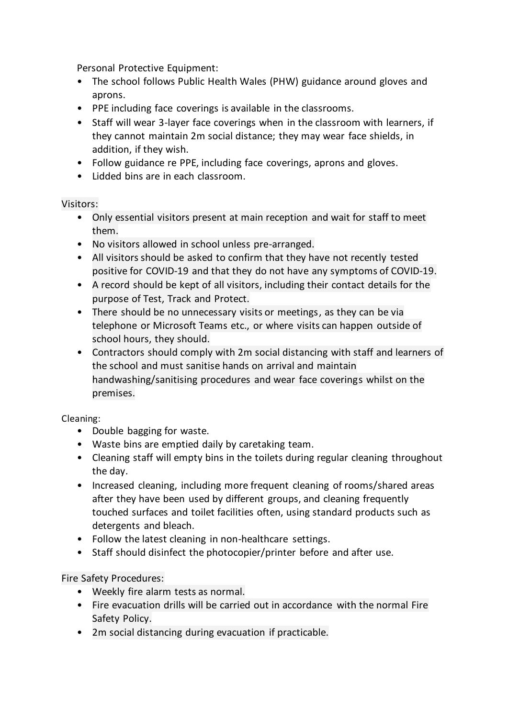Personal Protective Equipment:

- The school follows Public Health Wales (PHW) guidance around gloves and aprons.
- PPE including face coverings is available in the classrooms.
- Staff will wear 3-layer face coverings when in the classroom with learners, if they cannot maintain 2m social distance; they may wear face shields, in addition, if they wish.
- Follow guidance re PPE, including face coverings, aprons and gloves.
- Lidded bins are in each classroom.

## Visitors:

- Only essential visitors present at main reception and wait for staff to meet them.
- No visitors allowed in school unless pre-arranged.
- All visitors should be asked to confirm that they have not recently tested positive for COVID-19 and that they do not have any symptoms of COVID-19.
- A record should be kept of all visitors, including their contact details for the purpose of Test, Track and Protect.
- There should be no unnecessary visits or meetings, as they can be via telephone or Microsoft Teams etc., or where visits can happen outside of school hours, they should.
- Contractors should comply with 2m social distancing with staff and learners of the school and must sanitise hands on arrival and maintain handwashing/sanitising procedures and wear face coverings whilst on the premises.

### Cleaning:

- Double bagging for waste.
- Waste bins are emptied daily by caretaking team.
- Cleaning staff will empty bins in the toilets during regular cleaning throughout the day.
- Increased cleaning, including more frequent cleaning of rooms/shared areas after they have been used by different groups, and cleaning frequently touched surfaces and toilet facilities often, using standard products such as detergents and bleach.
- Follow the latest cleaning in non-healthcare settings.
- Staff should disinfect the photocopier/printer before and after use.

### Fire Safety Procedures:

- Weekly fire alarm tests as normal.
- Fire evacuation drills will be carried out in accordance with the normal Fire Safety Policy.
- 2m social distancing during evacuation if practicable.